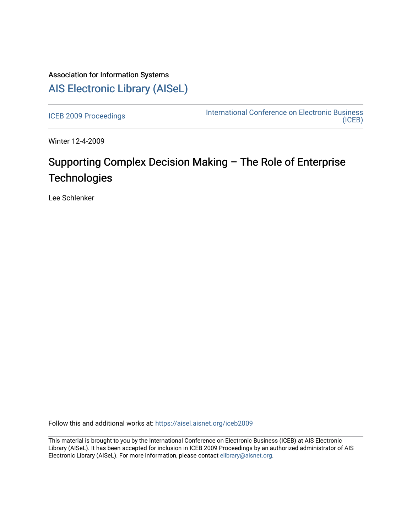# Association for Information Systems [AIS Electronic Library \(AISeL\)](https://aisel.aisnet.org/)

[ICEB 2009 Proceedings](https://aisel.aisnet.org/iceb2009) **International Conference on Electronic Business** [\(ICEB\)](https://aisel.aisnet.org/iceb) 

Winter 12-4-2009

# Supporting Complex Decision Making – The Role of Enterprise **Technologies**

Lee Schlenker

Follow this and additional works at: [https://aisel.aisnet.org/iceb2009](https://aisel.aisnet.org/iceb2009?utm_source=aisel.aisnet.org%2Ficeb2009%2F108&utm_medium=PDF&utm_campaign=PDFCoverPages)

This material is brought to you by the International Conference on Electronic Business (ICEB) at AIS Electronic Library (AISeL). It has been accepted for inclusion in ICEB 2009 Proceedings by an authorized administrator of AIS Electronic Library (AISeL). For more information, please contact [elibrary@aisnet.org.](mailto:elibrary@aisnet.org%3E)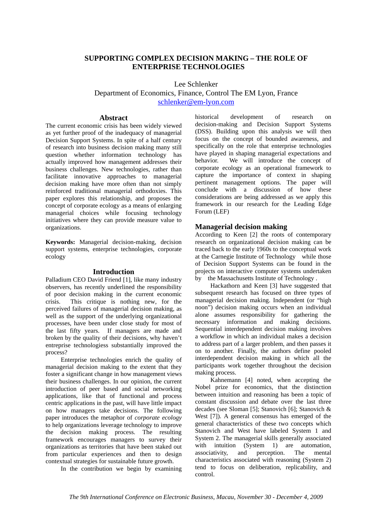## **SUPPORTING COMPLEX DECISION MAKING – THE ROLE OF ENTERPRISE TECHNOLOGIES**

Lee Schlenker

## Department of Economics, Finance, Control The EM Lyon, France schlenker@em-lyon.com

#### **Abstract**

The current economic crisis has been widely viewed as yet further proof of the inadequacy of managerial Decision Support Systems. In spite of a half century of research into business decision making many still question whether information technology has actually improved how management addresses their business challenges. New technologies, rather than facilitate innovative approaches to managerial decision making have more often than not simply reinforced traditional managerial orthodoxies. This paper explores this relationship, and proposes the concept of corporate ecology as a means of enlarging managerial choices while focusing technology initiatives where they can provide measure value to organizations.

**Keywords:** Managerial decision-making, decision support systems, enterprise technologies, corporate ecology

#### **Introduction**

Palladium CEO David Friend [1], like many industry observers, has recently underlined the responsibility of poor decision making in the current economic crisis. This critique is nothing new, for the perceived failures of managerial decision making, as well as the support of the underlying organizational processes, have been under close study for most of the last fifty years. If managers are made and broken by the quality of their decisions, why haven't entreprise technologiess substantially improved the process?

Enterprise technologies enrich the quality of managerial decision making to the extent that they foster a significant change in how management views their business challenges. In our opinion, the current introduction of peer based and social networking applications, like that of functional and process centric applications in the past, will have little impact on how managers take decisions. The following paper introduces the metaphor of *corporate ecology* to help organizations leverage technology to improve the decision making process. The resulting framework encourages managers to survey their organizations as territories that have been staked out from particular experiences and then to design contextual strategies for sustainable future growth.

In the contribution we begin by examining

historical development of research on decision-making and Decision Support Systems (DSS). Building upon this analysis we will then focus on the concept of bounded awareness, and specifically on the role that enterprise technologies have played in shaping managerial expectations and behavior. We will introduce the concept of corporate ecology as an operational framework to capture the importance of context in shaping pertinent management options. The paper will conclude with a discussion of how these considerations are being addressed as we apply this framework in our research for the Leading Edge Forum (LEF)

#### **Managerial decision making**

According to Keen [2] the roots of contemporary research on organizational decision making can be traced back to the early 1960s to the conceptual work at the Carnegie Institute of Technology while those of Decision Support Systems can be found in the projects on interactive computer systems undertaken by the Massachusetts Institute of Technology .

Hackathorn and Keen [3] have suggested that subsequent research has focused on three types of managerial decision making. Independent (or "high noon") decision making occurs when an individual alone assumes responsibility for gathering the necessary information and making decisions. Sequential interdependent decision making involves a workflow in which an individual makes a decision to address part of a larger problem, and then passes it on to another. Finally, the authors define pooled interdependent decision making in which all the participants work together throughout the decision making process.

Kahnemann [4] noted, when accepting the Nobel prize for economics, that the distinction between intuition and reasoning has been a topic of constant discussion and debate over the last three decades (see Sloman [5]; Stanovich [6]; Stanovich & West [7]). A general consensus has emerged of the general characteristics of these two concepts which Stanovich and West have labeled System 1 and System 2. The managerial skills generally associated with intuition (System 1) are automation,<br>associativity, and perception. The mental associativity, and perception. The mental characteristics associated with reasoning (System 2) tend to focus on deliberation, replicability, and control.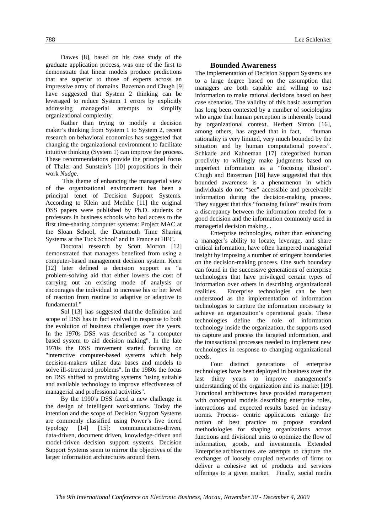Dawes [8], based on his case study of the graduate application process, was one of the first to demonstrate that linear models produce predictions that are superior to those of experts across an impressive array of domains. Bazeman and Chugh [9] have suggested that System 2 thinking can be leveraged to reduce System 1 errors by explicitly addressing managerial attempts to simplify organizational complexity.

Rather than trying to modify a decision maker's thinking from System 1 to System 2, recent research on behavioral economics has suggested that changing the organizational environment to facilitate intuitive thinking (System 1) can improve the process. These recommendations provide the principal focus of Thaler and Sunstein's [10] propositions in their work *Nudge*.

 This theme of enhancing the managerial view of the organizational environment has been a principal tenet of Decision Support Systems. According to Klein and Methlie [11] the original DSS papers were published by Ph.D. students or professors in business schools who had access to the first time-sharing computer systems: Project MAC at the Sloan School, the Dartmouth Time Sharing Systems at the Tuck School' and in France at HEC.

Doctoral research by Scott Morton [12] demonstrated that managers benefited from using a computer-based management decision system. Keen [12] later defined a decision support as "a problem-solving aid that either lowers the cost of carrying out an existing mode of analysis or encourages the individual to increase his or her level of reaction from routine to adaptive or adaptive to fundamental."

Sol [13] has suggested that the definition and scope of DSS has in fact evolved in response to both the evolution of business challenges over the years. In the 1970s DSS was described as "a computer based system to aid decision making". In the late 1970s the DSS movement started focusing on "interactive computer-based systems which help decision-makers utilize data bases and models to solve ill-structured problems". In the 1980s the focus on DSS shifted to providing systems "using suitable and available technology to improve effectiveness of managerial and professional activities".

By the 1990's DSS faced a new challenge in the design of intelligent workstations. Today the intention and the scope of Decision Support Systems are commonly classified using Power's five tiered typology [14] [15]: communications-driven, data-driven, document driven, knowledge-driven and model-driven decision support systems. Decision Support Systems seem to mirror the objectives of the larger information architectures around them.

#### **Bounded Awareness**

The implementation of Decision Support Systems are to a large degree based on the assumption that managers are both capable and willing to use information to make rational decisions based on best case scenarios. The validity of this basic assumption has long been contested by a number of sociologists who argue that human perception is inherently bound by organizational context. Herbert Simon [16], among others, has argued that in fact, "human rationality is very limited, very much bounded by the situation and by human computational powers". Schkade and Kahneman [17] categorized human proclivity to willingly make judgments based on imperfect information as a "focusing illusion". Chugh and Bazerman [18] have suggested that this bounded awareness is a phenomenon in which individuals do not "see" accessible and perceivable information during the decision-making process. They suggest that this "focusing failure" results from a discrepancy between the information needed for a good decision and the information commonly used in managerial decision making. .

Enterprise technologies, rather than enhancing a manager's ability to locate, leverage, and share critical information, have often hampered managerial insight by imposing a number of stringent boundaries on the decision-making process. One such boundary can found in the successive generations of enterprise technologies that have privileged certain types of information over others in describing organizational realities. Enterprise technologies can be best understood as the implementation of information technologies to capture the information necessary to achieve an organization's operational goals. These technologies define the role of information technology inside the organization, the supports used to capture and process the targeted information, and the transactional processes needed to implement new technologies in response to changing organizational needs.

Four distinct generations of enterprise technologies have been deployed in business over the last thirty years to improve management's understanding of the organization and its market [19]. Functional architectures have provided management with conceptual models describing enterprise roles, interactions and expected results based on industry norms. Process- centric applications enlarge the notion of best practice to propose standard methodologies for shaping organizations across functions and divisional units to optimize the flow of information, goods, and investments. Extended Enterprise architectures are attempts to capture the exchanges of loosely coupled networks of firms to deliver a cohesive set of products and services offerings to a given market. Finally, social media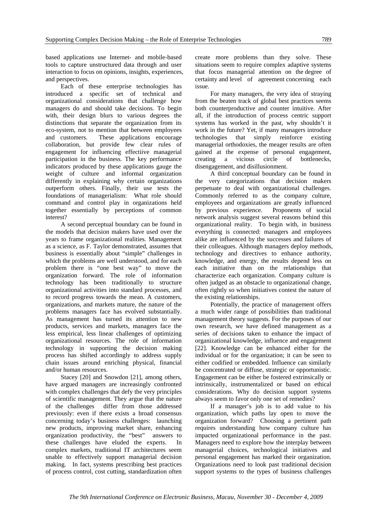based applications use Internet- and mobile-based tools to capture unstructured data through and user interaction to focus on opinions, insights, experiences, and perspectives.

Each of these enterprise technologies has introduced a specific set of technical and organizational considerations that challenge how managers do and should take decisions. To begin with, their design blurs to various degrees the distinctions that separate the organization from its eco-system, not to mention that between employees and customers. These applications encourage collaboration, but provide few clear rules of engagement for influencing effectiive managerial participation in the business. The key performance indicators produced by these applications gauge the weight of culture and informal organization differently in explaining why certain organizations outperform others. Finally, their use tests the foundations of managerialism: What role should command and control play in organizations held together essentially by perceptions of common interest?

A second perceptual boundary can be found in the models that decision makers have used over the years to frame organizational realities. Management as a science, as F. Taylor demonstrated, assumes that business is essentially about "simple" challenges in which the problems are well understood, and for each problem there is "one best way" to move the organization forward. The role of information technology has been traditionally to structure organizational activities into standard processes, and to record progress towards the mean. A customers, organizations, and markets mature, the nature of the problems managers face has evolved substantially. As management has turned its attention to new products, services and markets, managers face the less empirical, less linear challenges of optimizing organizational resources. The role of information technology in supporting the decision making process has shifted accordingly to address supply chain issues around enriching physical, financial and/or human resources.

Stacey [20] and Snowdon [21], among others, have argued managers are increasingly confronted with complex challenges that defy the very principles of scientific management. They argue that the nature of the challenges differ from those addressed previously: even if there exists a broad consensus concerning today's business challenges: launching new products, improving market share, enhancing organization productivity, the "best" answers to these challenges have eluded the experts. In complex markets, traditional IT architectures seem unable to effectively support managerial decision making. In fact, systems prescribing best practices of process control, cost cutting, standardization often

create more problems than they solve. These situations seem to require complex adaptive systems that focus managerial attention on the degree of certainty and level of agreement concerning each issue.

For many managers, the very idea of straying from the beaten track of global best practices seems both counterproductive and counter intuitive. After all, if the introduction of process centric support systems has worked in the past, why shouldn't it work in the future? Yet, if many managers introduce technologies that simply reinforce existing managerial orthodoxies, the meager results are often gained at the expense of personal engagement, creating a vicious circle of bottlenecks, disengagement, and disillusionment.

A third conceptual boundary can be found in the very categorizations that decision makers perpetuate to deal with organizational challenges. Commonly referred to as the company culture, employees and organizations are greatly influenced by previous experience. Proponents of social network analysis suggest several reasons behind this organizational reality. To begin with, in business everything is connected: managers and employees alike are influenced by the successes and failures of their colleagues. Although managers deploy methods, technology and directives to enhance authority, knowledge, and energy, the results depend less on each initiative than on the relationships that characterize each organization. Company culture is often judged as an obstacle to organizational change, often rightly so when initiatives contest the nature of the existing relationships.

Potentially, the practice of management offers a much wider range of possibilities than traditional management theory suggests. For the purposes of our own research, we have defined management as a series of decisions taken to enhance the impact of organizational knowledge, influence and engagement [22]. Knowledge can be enhanced either for the individual or for the organization; it can be seen to either codified or embedded. Influence can similarly be concentrated or diffuse, strategic or opportunistic. Engagement can be either be fostered extrinsically or intrinsically, instrumentalized or based on ethical considerations. Why do decision support systems always seem to favor only one set of remedies?

If a manager's job is to add value to his organization, which paths lay open to move the organization forward? Choosing a pertinent path requires understanding how company culture has impacted organizational performance in the past. Managers need to explore how the interplay between managerial choices, technological initiatives and personal engagement has marked their organization. Organizations need to look past traditional decision support systems to the types of business challenges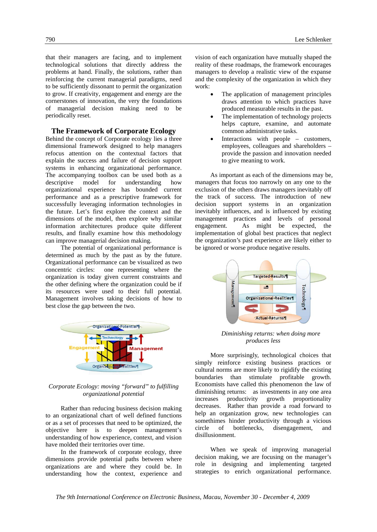that their managers are facing, and to implement technological solutions that directly address the problems at hand. Finally, the solutions, rather than reinforcing the current managerial paradigms, need to be sufficiently dissonant to permit the organization to grow. If creativity, engagement and energy are the cornerstones of innovation, the very the foundations of managerial decision making need to be periodically reset.

#### **The Framework of Corporate Ecology**

Behind the concept of Corporate ecology lies a three dimensional framework designed to help managers refocus attention on the contextual factors that explain the success and failure of decision support systems in enhancing organizational performance. The accompanying toolbox can be used both as a descriptive model for understanding how organizational experience has bounded current performance and as a prescriptive framework for successfully leveraging information technologies in the future. Let's first explore the context and the dimensions of the model, then explore why similar information architectures produce quite different results, and finally examine how this methodology can improve managerial decision making.

The potential of organizational performance is determined as much by the past as by the future. Organizational performance can be visualized as two concentric circles: one representing where the organization is today given current constraints and the other defining where the organization could be if its resources were used to their full potential. Management involves taking decisions of how to best close the gap between the two.



#### *Corporate Ecology: moving "forward" to fulfilling organizational potential*

Rather than reducing business decision making to an organizational chart of well defined functions or as a set of processes that need to be optimized, the objective here is to deepen management's understanding of how experience, context, and vision have molded their territories over time.

In the framework of corporate ecology, three dimensions provide potential paths between where organizations are and where they could be. In understanding how the context, experience and vision of each organization have mutually shaped the reality of these roadmaps, the framework encourages managers to develop a realistic view of the expanse and the complexity of the organization in which they work:

- The application of management principles draws attention to which practices have produced measurable results in the past.
- The implementation of technology projects helps capture, examine, and automate common administrative tasks.
- Interactions with people customers, employees, colleagues and shareholders – provide the passion and innovation needed to give meaning to work.

As important as each of the dimensions may be, managers that focus too narrowly on any one to the exclusion of the others draws managers inevitably off the track of success. The introduction of new decision support systems in an organization inevitably influences, and is influenced by existing management practices and levels of personal engagement. As might be expected, the implementation of global best practices that neglect the organization's past experience are likely either to be ignored or worse produce negative results.



*Diminishing returns: when doing more produces less* 

More surprisingly, technological choices that simply reinforce existing business practices or cultural norms are more likely to rigidify the existing boundaries than stimulate profitable growth. Economists have called this phenomenon the law of diminishing returns: as investments in any one area increases productivity growth proportionality decreases. Rather than provide a road forward to help an organization grow, new technologies can somethimes hinder productivity through a vicious<br>circle of bottlenecks, disengagement, and circle of bottlenecks, disengagement, and disillusionment.

When we speak of improving managerial decision making, we are focusing on the manager's role in designing and implementing targeted strategies to enrich organizational performance.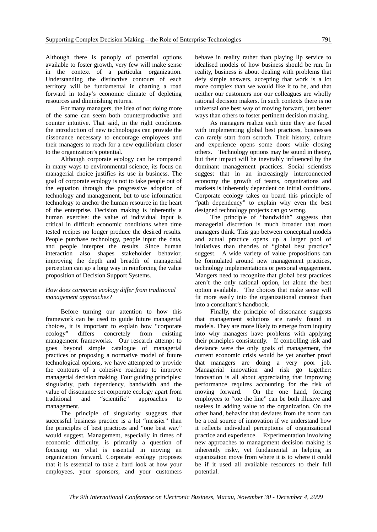Although there is panoply of potential options available to foster growth, very few will make sense in the context of a particular organization. Understanding the distinctive contours of each territory will be fundamental in charting a road forward in today's economic climate of depleting resources and diminishing returns.

For many managers, the idea of not doing more of the same can seem both counterproductive and counter intuitive. That said, in the right conditions the introduction of new technologies can provide the dissonance necessary to encourage employees and their managers to reach for a new equilibrium closer to the organization's potential.

Although corporate ecology can be compared in many ways to environmental science, its focus on managerial choice justifies its use in business. The goal of corporate ecology is not to take people out of the equation through the progressive adoption of technology and management, but to use information technology to anchor the human resource in the heart of the enterprise. Decision making is inherently a human exercise: the value of individual input is critical in difficult economic conditions when time tested recipes no longer produce the desired results. People purchase technology, people input the data, and people interpret the results. Since human interaction also shapes stakeholder behavior, improving the depth and breadth of managerial perception can go a long way in reinforcing the value proposition of Decision Support Systems.

#### *How does corporate ecology differ from traditional management approaches?*

Before turning our attention to how this framework can be used to guide future managerial choices, it is important to explain how "corporate ecology" differs concretely from existing management frameworks. Our research attempt to goes beyond simple catalogue of managerial practices or proposing a normative model of future technological options, we have attempted to provide the contours of a cohesive roadmap to improve managerial decision making. Four guiding principles: singularity, path dependency, bandwidth and the value of dissonance set corporate ecology apart from traditional and "scientific" approaches to management.

The principle of singularity suggests that successful business practice is a lot "messier" than the principles of best practices and "one best way" would suggest. Management, especially in times of economic difficulty, is primarily a question of focusing on what is essential in moving an organization forward. Corporate ecology proposes that it is essential to take a hard look at how your employees, your sponsors, and your customers

behave in reality rather than playing lip service to idealised models of how business should be run. In reality, business is about dealing with problems that defy simple answers, accepting that work is a lot more complex than we would like it to be, and that neither our customers nor our colleagues are wholly rational decision makers. In such contexts there is no universal one best way of moving forward, just better ways than others to foster pertinent decision making.

As managers realize each time they are faced with implementing global best practices, businesses can rarely start from scratch. Their history, culture and experience opens some doors while closing others. Technology options may be sound in theory, but their impact will be inevitably influenced by the dominant management practices. Social scientists suggest that in an increasingly interconnected economy the growth of teams, organizations and markets is inherently dependent on initial conditions. Corporate ecology takes on board this principle of "path dependency" to explain why even the best designed technology projects can go wrong.

The principle of "bandwidth" suggests that managerial discretion is much broader that most managers think. This gap between conceptual models and actual practice opens up a larger pool of initiatives than theories of "global best practice" suggest. A wide variety of value propositions can be formulated around new management practices, technology implementations or personal engagement. Mangers need to recognize that global best practices aren't the only rational option, let alone the best option available. The choices that make sense will fit more easily into the organizational context than into a consultant's handbook.

Finally, the principle of dissonance suggests that management solutions are rarely found in models. They are more likely to emerge from inquiry into why managers have problems with applying their principles consistently. If controlling risk and deviance were the only goals of management, the current economic crisis would be yet another proof that managers are doing a very poor job. Managerial innovation and risk go together: innovation is all about appreciating that improving performance requires accounting for the risk of moving forward. On the one hand, forcing employees to "toe the line" can be both illusive and useless in adding value to the organization. On the other hand, behavior that deviates from the norm can be a real source of innovation if we understand how it reflects individual perceptions of organizational practice and experience. Experimentation involving new approaches to management decision making is inherently risky, yet fundamental in helping an organization move from where it is to where it could be if it used all available resources to their full potential.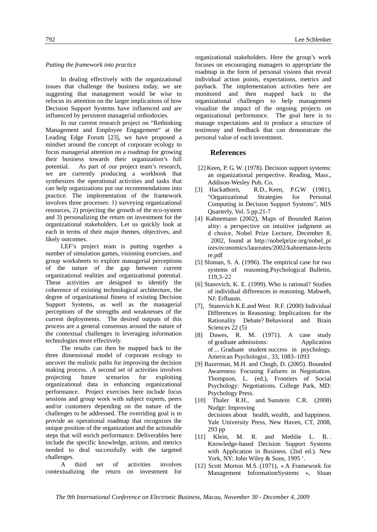#### *Putting the framework into practice*

In dealing effectively with the organizational issues that challenge the business today, we are suggesting that management would be wise to refocus its attention on the larger implications of how Decision Support Systems have influenced and are influenced by persistent managerial orthodoxies.

In our current research project on "Rethinking Management and Employee Engagement" at the Leading Edge Forum [23], we have proposed a mindset around the concept of corporate ecology to focus managerial attention on a roadmap for growing their business towards their organization's full potential. As part of our project team's research, we are currently producing a workbook that synthesizes the operational activities and tasks that can help organizations put our recommendations into practice. The implementation of the framework involves three processes: 1) surveying organizational resources, 2) projecting the growth of the eco-system and 3) personalizing the return on investment for the organizational stakeholders. Let us quickly look at each in terms of their major themes, objectives, and likely outcomes.

LEF's project team is putting together a number of simulation games, visioning exercises, and group worksheets to explore managerial perceptions of the nature of the gap between current organizational realities and organizational potential. These activities are designed to identify the coherence of existing technological architecture, the degree of organizational fitness of existing Decision Support Systems, as well as the managerial perceptions of the strengths and weaknesses of the current deployments. The desired outputs of this process are a general consensus around the nature of the contextual challenges in leveraging information technologies more effectively.

The results can then be mapped back to the three dimensional model of corporate ecology to uncover the realistic paths for improving the decision making process. .A second set of activities involves projecting future scenarios for exploiting organizational data in enhancing organizational performance. Project exercises here include focus sessions and group work with subject experts, peers and/or customers depending on the nature of the challenges to be addressed. The overriding goal is to provide an operational roadmap that recognizes the unique position of the organization and the actionable steps that will enrich performance. Deliverables here include the specific knowledge, actions, and metrics needed to deal successfully with the targeted challenges.

A third set of activities involves contextualizing the return on investment for organizational stakeholders. Here the group's work focuses on encouraging managers to appropriate the roadmap in the form of personal visions that reveal individual action points, expectations, metrics and payback. The implementation activities here are monitored and then mapped back to the organizational challenges to help management visualize the impact of the ongoing projects on organizational performance. The goal here is to manage expectations and to produce a structure of testimony and feedback that can demonstrate the personal value of each investment.

#### **References**

- [2] Keen, P. G. W. (1978). Decision support systems: an organizational perspective. Reading, Mass., Addison-Wesley Pub. Co.
- [3] Hackathorn, R.D., Keen, P.G.W (1981), "Organizational Strategies for Personal Computing in Decision Support Systems", MIS Quarterly, Vol. 5 pp.21-7
- [4] Kahnemann (2002), Maps of Bounded Ration ality: a perspective on intuitive judgment an d choice, Nobel Prize Lecture, December 8, 2002, found at http://nobelprize.org/nobel\_pr izes/economics/laureates/2002/kahnemann-lectu re.pdf
- [5] Sloman, S. A. (1996). The empirical case for two systems of reasoning.Psychological Bulletin, 119,3–22
- [6] Stanovich, K. E. (1999). Who is rational? Studies of individual differences in reasoning. Mahweh, NJ: Erlbaum.
- [7], Stanovich K.E.and West R.F. (2000) Individual Differences in Reasoning: Implications for the Rationality Debate? Behavioral and Brain Sciences 22 $(5)$
- [8] Dawes, R. M. (1971). A case study of graduate admissions: Application of ... Graduate student success in psychology. American Psychologist , 33, 1083–1093
- [9] Bazerman, M.H. and Chugh, D. (2005). Bounded Awareness: Focusing Failures in Negotiation. Thompson, L. (ed.), Frontiers of Social Psychology: Negotiations. College Park, MD: Psychology Press.
- [10] Thaler R.H., and Sunstein C.R. (2008) Nudge: Improving decisions about health, wealth, and happiness. Yale University Press, New Haven, CT, 2008, 293 pp
- [11] Klein, M. R. and Methlie L. B.. Knowledge-based Decision Support Systems with Application in Business. (2nd ed.). New York, NY: John Wiley & Sons, 1995 '.
- [12] Scott Morton M.S. (1971), « A Framework for Management InformationSystems », Sloan